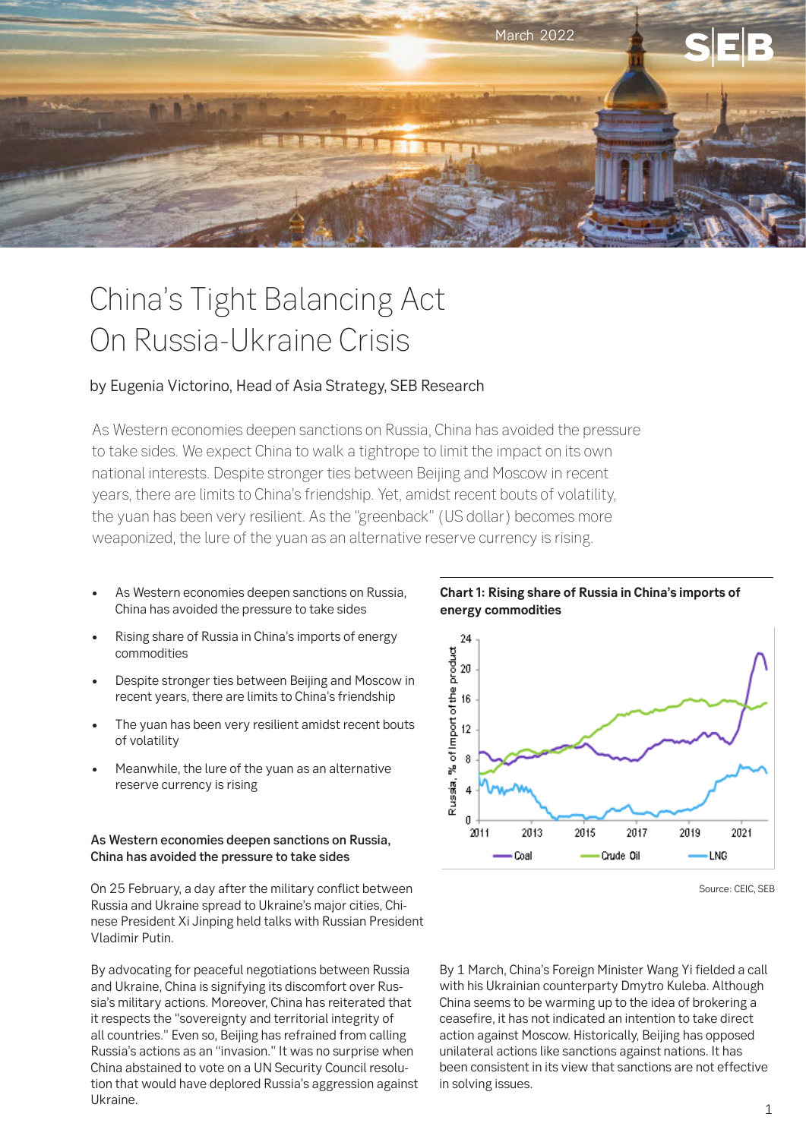

# China's Tight Balancing Act On Russia-Ukraine Crisis

## by Eugenia Victorino, Head of Asia Strategy, SEB Research

As Western economies deepen sanctions on Russia, China has avoided the pressure to take sides. We expect China to walk a tightrope to limit the impact on its own national interests. Despite stronger ties between Beijing and Moscow in recent years, there are limits to China's friendship. Yet, amidst recent bouts of volatility, the yuan has been very resilient. As the "greenback" (US dollar) becomes more weaponized, the lure of the yuan as an alternative reserve currency is rising.

- As Western economies deepen sanctions on Russia, China has avoided the pressure to take sides
- Rising share of Russia in China's imports of energy commodities
- Despite stronger ties between Beijing and Moscow in recent years, there are limits to China's friendship
- The yuan has been very resilient amidst recent bouts of volatility
- Meanwhile, the lure of the yuan as an alternative reserve currency is rising

#### As Western economies deepen sanctions on Russia, China has avoided the pressure to take sides

On 25 February, a day after the military conflict between Russia and Ukraine spread to Ukraine's major cities, Chinese President Xi Jinping held talks with Russian President Vladimir Putin.

By advocating for peaceful negotiations between Russia and Ukraine, China is signifying its discomfort over Russia's military actions. Moreover, China has reiterated that it respects the "sovereignty and territorial integrity of all countries." Even so, Beijing has refrained from calling Russia's actions as an "invasion." It was no surprise when China abstained to vote on a UN Security Council resolution that would have deplored Russia's aggression against Ukraine.

**Chart 1: Rising share of Russia in China's imports of energy commodities**



Source: CEIC, SEB

By 1 March, China's Foreign Minister Wang Yi fielded a call with his Ukrainian counterparty Dmytro Kuleba. Although China seems to be warming up to the idea of brokering a ceasefire, it has not indicated an intention to take direct action against Moscow. Historically, Beijing has opposed unilateral actions like sanctions against nations. It has been consistent in its view that sanctions are not effective in solving issues.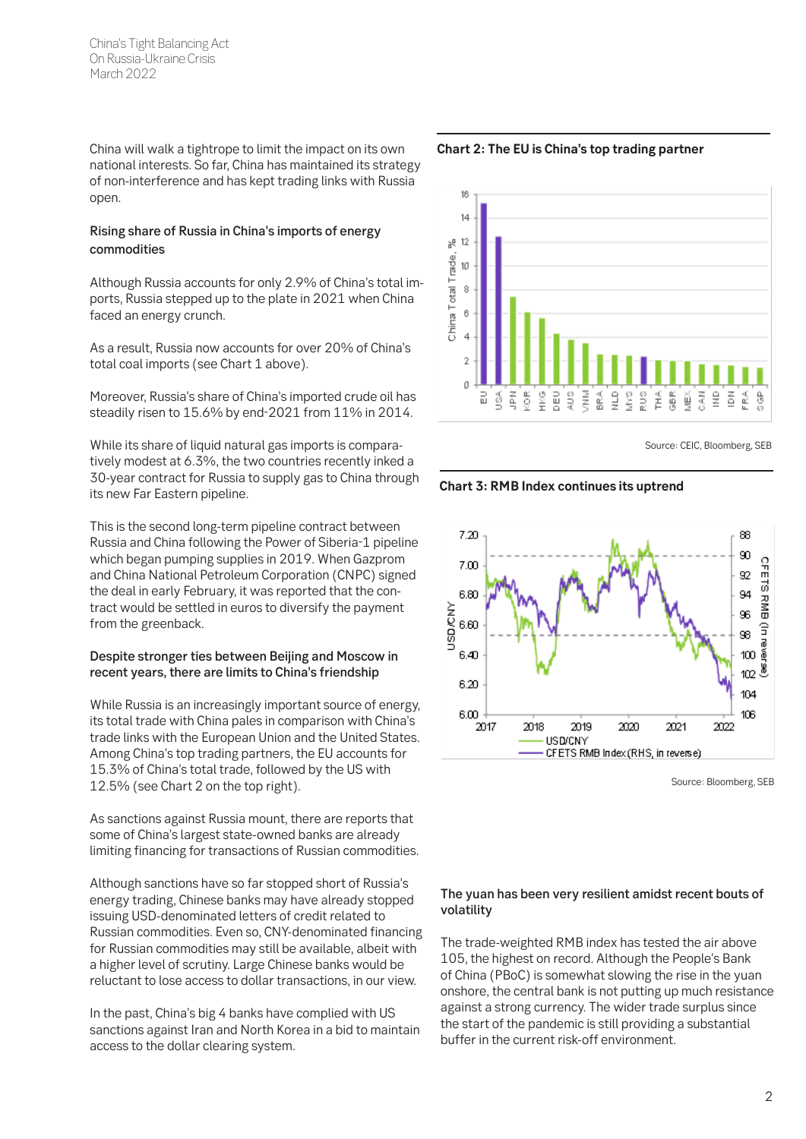China's Tight Balancing Act On Russia-Ukraine Crisis March 2022

China will walk a tightrope to limit the impact on its own national interests. So far, China has maintained its strategy of non-interference and has kept trading links with Russia open.

#### Rising share of Russia in China's imports of energy commodities

Although Russia accounts for only 2.9% of China's total imports, Russia stepped up to the plate in 2021 when China faced an energy crunch.

As a result, Russia now accounts for over 20% of China's total coal imports (see Chart 1 above).

Moreover, Russia's share of China's imported crude oil has steadily risen to 15.6% by end-2021 from 11% in 2014.

While its share of liquid natural gas imports is comparatively modest at 6.3%, the two countries recently inked a 30-year contract for Russia to supply gas to China through its new Far Eastern pipeline.

This is the second long-term pipeline contract between Russia and China following the Power of Siberia-1 pipeline which began pumping supplies in 2019. When Gazprom and China National Petroleum Corporation (CNPC) signed the deal in early February, it was reported that the contract would be settled in euros to diversify the payment from the greenback.

#### Despite stronger ties between Beijing and Moscow in recent years, there are limits to China's friendship

While Russia is an increasingly important source of energy, its total trade with China pales in comparison with China's trade links with the European Union and the United States. Among China's top trading partners, the EU accounts for 15.3% of China's total trade, followed by the US with 12.5% (see Chart 2 on the top right).

As sanctions against Russia mount, there are reports that some of China's largest state-owned banks are already limiting financing for transactions of Russian commodities.

Although sanctions have so far stopped short of Russia's energy trading, Chinese banks may have already stopped issuing USD-denominated letters of credit related to Russian commodities. Even so, CNY-denominated financing for Russian commodities may still be available, albeit with a higher level of scrutiny. Large Chinese banks would be reluctant to lose access to dollar transactions, in our view.

In the past, China's big 4 banks have complied with US sanctions against Iran and North Korea in a bid to maintain access to the dollar clearing system.



Source: CEIC, Bloomberg, SEB

**Chart 3: RMB Index continues its uptrend** 



Source: Bloomberg, SEB

### The yuan has been very resilient amidst recent bouts of volatility

The trade-weighted RMB index has tested the air above 105, the highest on record. Although the People's Bank of China (PBoC) is somewhat slowing the rise in the yuan onshore, the central bank is not putting up much resistance against a strong currency. The wider trade surplus since the start of the pandemic is still providing a substantial buffer in the current risk-off environment.

**Chart 2: The EU is China's top trading partner**